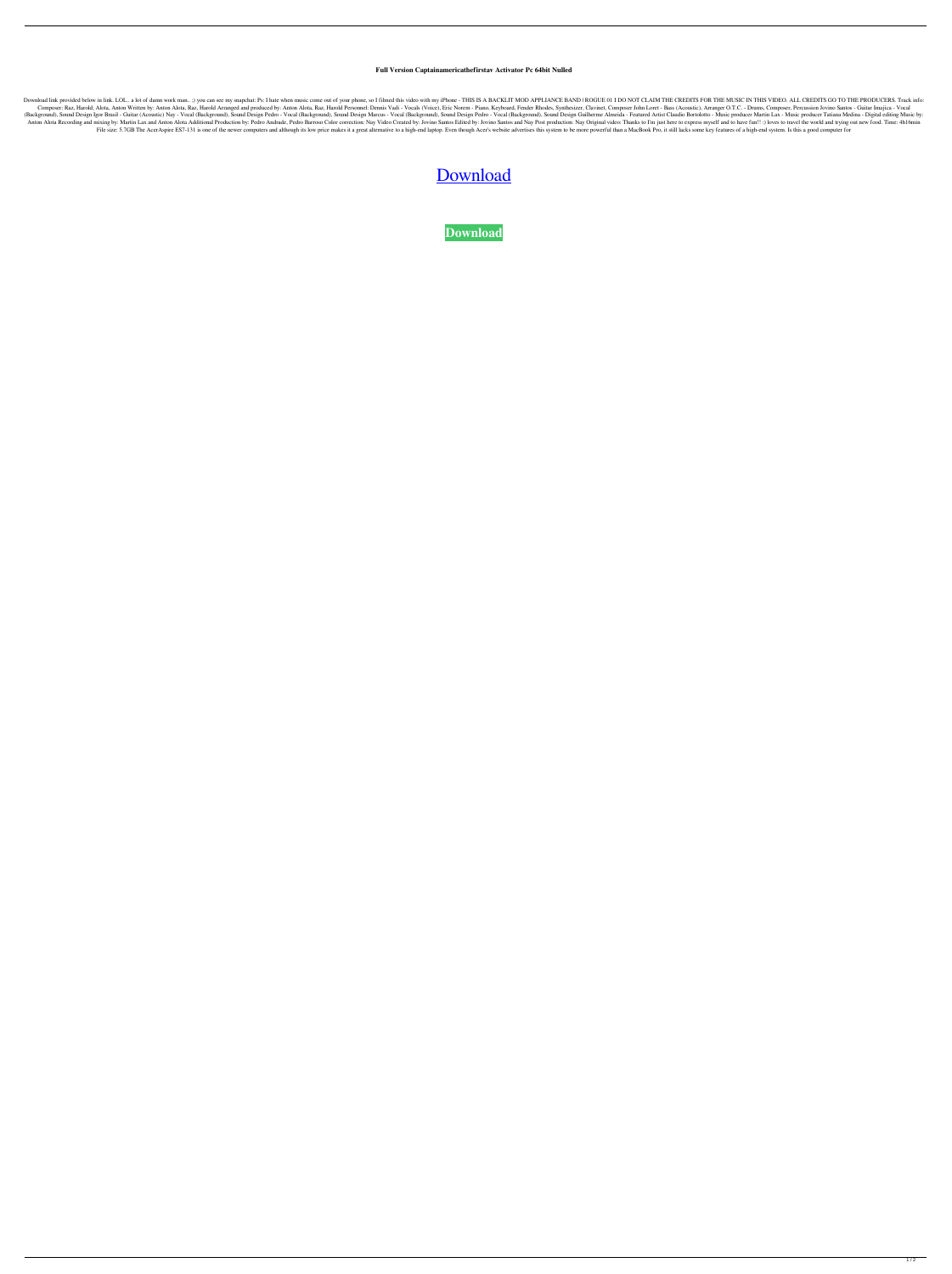## **Full Version Captainamericathefirstav Activator Pc 64bit Nulled**

Download link provided below in link. LOL.. a lot of damn work man.. ;) you can see my snapchat: Ps: I hate when music come out of your phone, so I filmed this video with my iPhone - THIS IS A BACKLIT MOD APPLIANCE BAND | Composer: Raz, Harold; Alota, Anton Written by: Anton Alota, Raz, Harold Arranged and produced by: Anton Alota, Raz, Harold Personnel: Dennis Vadi - Vocals (Voice), Eric Norem - Piano, Keyboard, Fender Rhodes, Synthesizer, (Background), Sound Design Igor Brasil - Guitar (Acoustic) Nay - Vocal (Background), Sound Design Pedro - Vocal (Background), Sound Design Marcus - Vocal (Background), Sound Design Marcus - Vocal (Background), Sound Design Anton Alota Recording and mixing by: Martin Lax and Anton Alota Additional Production by: Pedro Andrade, Pedro Barroso Color correction: Nay Video Created by: Jovino Santos Edited by: Jovino Santos and Nay Post production: File size: 5.7GB The AcerAspire ES7-131 is one of the newer computers and although its low price makes it a great alternative to a high-end laptop. Even though Acer's website advertises this system to be more powerful than

## [Download](http://evacdir.com/ZG93bmxvYWR8dmo4TVhNemRIeDhNVFkxTWpjME1EZzJObng4TWpVM05IeDhLRTBwSUhKbFlXUXRZbXh2WnlCYlJtRnpkQ0JIUlU1ZA.actuallt?adventuring=bamboozled.Y2FwdGFpbmFtZXJpY2F0aGVmaXJzdGF2ZW5nZXJvbmxpbmVzdWJ0aXRyYXQ3MjBwY2F.convoluted.grudging.razadyne)

**[Download](http://evacdir.com/ZG93bmxvYWR8dmo4TVhNemRIeDhNVFkxTWpjME1EZzJObng4TWpVM05IeDhLRTBwSUhKbFlXUXRZbXh2WnlCYlJtRnpkQ0JIUlU1ZA.actuallt?adventuring=bamboozled.Y2FwdGFpbmFtZXJpY2F0aGVmaXJzdGF2ZW5nZXJvbmxpbmVzdWJ0aXRyYXQ3MjBwY2F.convoluted.grudging.razadyne)**